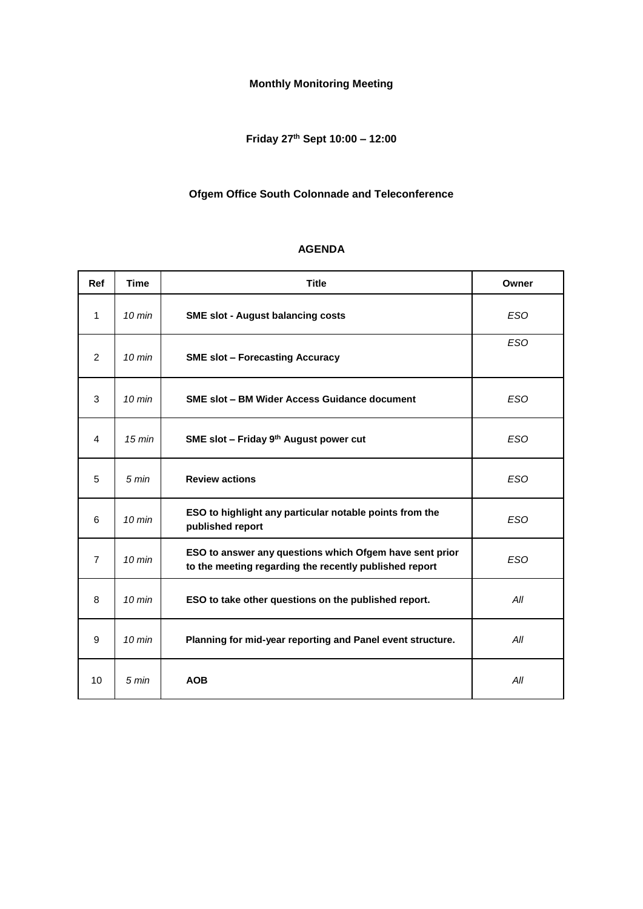# **Monthly Monitoring Meeting**

# **Friday 27th Sept 10:00 – 12:00**

## **Ofgem Office South Colonnade and Teleconference**

| Ref            | <b>Time</b>      | <b>Title</b>                                                                                                      | Owner      |
|----------------|------------------|-------------------------------------------------------------------------------------------------------------------|------------|
| 1              | $10 \text{ min}$ | <b>SME slot - August balancing costs</b>                                                                          | <b>ESO</b> |
| 2              | $10 \text{ min}$ | <b>SME slot - Forecasting Accuracy</b>                                                                            | <b>ESO</b> |
| 3              | $10 \text{ min}$ | <b>SME slot - BM Wider Access Guidance document</b>                                                               | <b>ESO</b> |
| 4              | $15 \text{ min}$ | SME slot - Friday 9th August power cut                                                                            | <b>ESO</b> |
| 5              | $5 \text{ min}$  | <b>Review actions</b>                                                                                             | <b>ESO</b> |
| 6              | $10 \text{ min}$ | ESO to highlight any particular notable points from the<br>published report                                       | <b>ESO</b> |
| $\overline{7}$ | $10 \text{ min}$ | ESO to answer any questions which Ofgem have sent prior<br>to the meeting regarding the recently published report | <b>ESO</b> |
| 8              | $10 \text{ min}$ | ESO to take other questions on the published report.                                                              | All        |
| 9              | $10 \text{ min}$ | Planning for mid-year reporting and Panel event structure.                                                        | All        |
| 10             | 5 min            | <b>AOB</b>                                                                                                        | All        |

#### **AGENDA**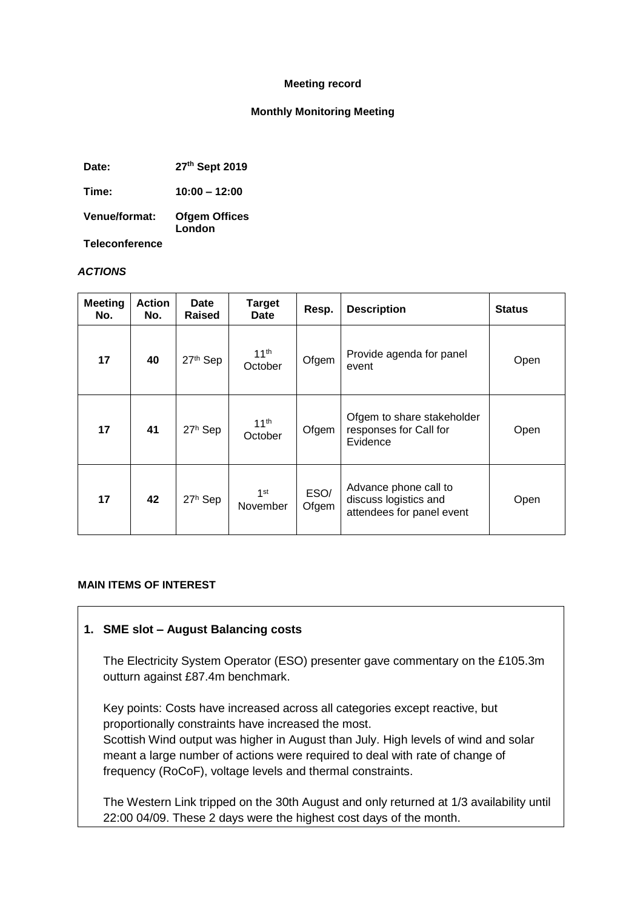#### **Meeting record**

#### **Monthly Monitoring Meeting**

**Date: 27th Sept 2019**

**Time: 10:00 – 12:00**

**Venue/format: Ofgem Offices London**

**Teleconference**

#### *ACTIONS*

| <b>Meeting</b><br>No. | Action<br>No. | <b>Date</b><br>Raised | <b>Target</b><br>Date       | Resp.         | <b>Description</b>                                                          | <b>Status</b> |
|-----------------------|---------------|-----------------------|-----------------------------|---------------|-----------------------------------------------------------------------------|---------------|
| 17                    | 40            | 27th Sep              | 11 <sup>th</sup><br>October | Ofgem         | Provide agenda for panel<br>event                                           | Open          |
| 17                    | 41            | 27 <sup>h</sup> Sep   | 11 <sup>th</sup><br>October | Ofgem         | Ofgem to share stakeholder<br>responses for Call for<br>Evidence            | Open          |
| 17                    | 42            | 27 <sup>h</sup> Sep   | 1 <sup>st</sup><br>November | ESO/<br>Ofgem | Advance phone call to<br>discuss logistics and<br>attendees for panel event | Open          |

#### **MAIN ITEMS OF INTEREST**

### **1. SME slot – August Balancing costs**

The Electricity System Operator (ESO) presenter gave commentary on the £105.3m outturn against £87.4m benchmark.

Key points: Costs have increased across all categories except reactive, but proportionally constraints have increased the most.

Scottish Wind output was higher in August than July. High levels of wind and solar meant a large number of actions were required to deal with rate of change of frequency (RoCoF), voltage levels and thermal constraints.

The Western Link tripped on the 30th August and only returned at 1/3 availability until 22:00 04/09. These 2 days were the highest cost days of the month.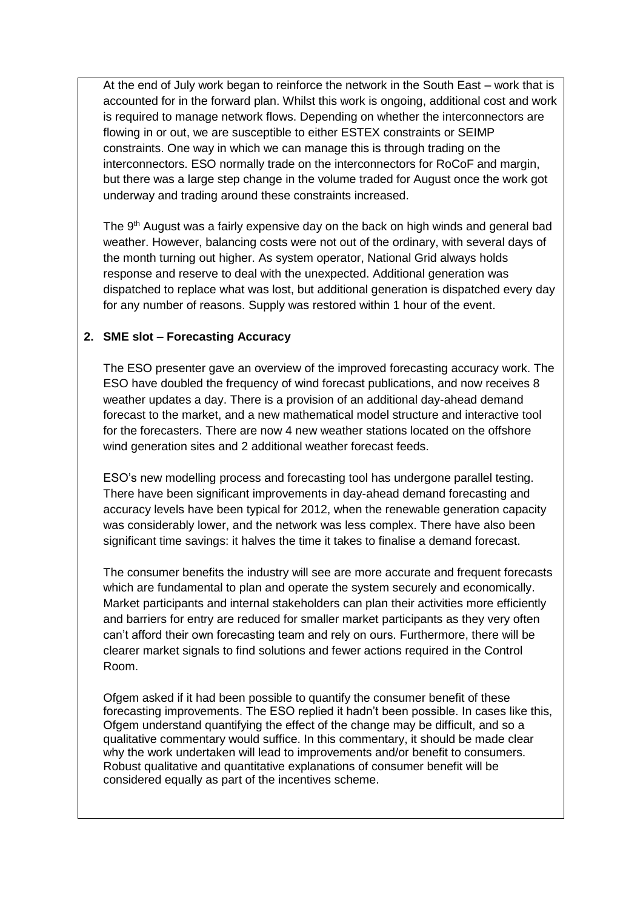At the end of July work began to reinforce the network in the South East – work that is accounted for in the forward plan. Whilst this work is ongoing, additional cost and work is required to manage network flows. Depending on whether the interconnectors are flowing in or out, we are susceptible to either ESTEX constraints or SEIMP constraints. One way in which we can manage this is through trading on the interconnectors. ESO normally trade on the interconnectors for RoCoF and margin, but there was a large step change in the volume traded for August once the work got underway and trading around these constraints increased.

The 9<sup>th</sup> August was a fairly expensive day on the back on high winds and general bad weather. However, balancing costs were not out of the ordinary, with several days of the month turning out higher. As system operator, National Grid always holds response and reserve to deal with the unexpected. Additional generation was dispatched to replace what was lost, but additional generation is dispatched every day for any number of reasons. Supply was restored within 1 hour of the event.

## **2. SME slot – Forecasting Accuracy**

The ESO presenter gave an overview of the improved forecasting accuracy work. The ESO have doubled the frequency of wind forecast publications, and now receives 8 weather updates a day. There is a provision of an additional day-ahead demand forecast to the market, and a new mathematical model structure and interactive tool for the forecasters. There are now 4 new weather stations located on the offshore wind generation sites and 2 additional weather forecast feeds.

ESO's new modelling process and forecasting tool has undergone parallel testing. There have been significant improvements in day-ahead demand forecasting and accuracy levels have been typical for 2012, when the renewable generation capacity was considerably lower, and the network was less complex. There have also been significant time savings: it halves the time it takes to finalise a demand forecast.

The consumer benefits the industry will see are more accurate and frequent forecasts which are fundamental to plan and operate the system securely and economically. Market participants and internal stakeholders can plan their activities more efficiently and barriers for entry are reduced for smaller market participants as they very often can't afford their own forecasting team and rely on ours. Furthermore, there will be clearer market signals to find solutions and fewer actions required in the Control Room.

Ofgem asked if it had been possible to quantify the consumer benefit of these forecasting improvements. The ESO replied it hadn't been possible. In cases like this, Ofgem understand quantifying the effect of the change may be difficult, and so a qualitative commentary would suffice. In this commentary, it should be made clear why the work undertaken will lead to improvements and/or benefit to consumers. Robust qualitative and quantitative explanations of consumer benefit will be considered equally as part of the incentives scheme.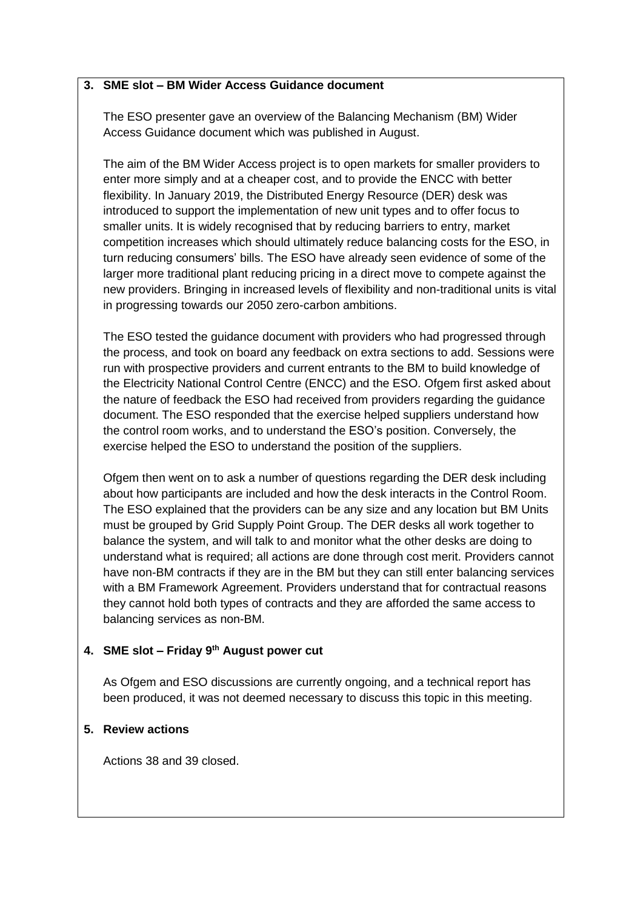### **3. SME slot – BM Wider Access Guidance document**

The ESO presenter gave an overview of the Balancing Mechanism (BM) Wider Access Guidance document which was published in August.

The aim of the BM Wider Access project is to open markets for smaller providers to enter more simply and at a cheaper cost, and to provide the ENCC with better flexibility. In January 2019, the Distributed Energy Resource (DER) desk was introduced to support the implementation of new unit types and to offer focus to smaller units. It is widely recognised that by reducing barriers to entry, market competition increases which should ultimately reduce balancing costs for the ESO, in turn reducing consumers' bills. The ESO have already seen evidence of some of the larger more traditional plant reducing pricing in a direct move to compete against the new providers. Bringing in increased levels of flexibility and non-traditional units is vital in progressing towards our 2050 zero-carbon ambitions.

The ESO tested the guidance document with providers who had progressed through the process, and took on board any feedback on extra sections to add. Sessions were run with prospective providers and current entrants to the BM to build knowledge of the Electricity National Control Centre (ENCC) and the ESO. Ofgem first asked about the nature of feedback the ESO had received from providers regarding the guidance document. The ESO responded that the exercise helped suppliers understand how the control room works, and to understand the ESO's position. Conversely, the exercise helped the ESO to understand the position of the suppliers.

Ofgem then went on to ask a number of questions regarding the DER desk including about how participants are included and how the desk interacts in the Control Room. The ESO explained that the providers can be any size and any location but BM Units must be grouped by Grid Supply Point Group. The DER desks all work together to balance the system, and will talk to and monitor what the other desks are doing to understand what is required; all actions are done through cost merit. Providers cannot have non-BM contracts if they are in the BM but they can still enter balancing services with a BM Framework Agreement. Providers understand that for contractual reasons they cannot hold both types of contracts and they are afforded the same access to balancing services as non-BM.

### **4. SME slot – Friday 9th August power cut**

As Ofgem and ESO discussions are currently ongoing, and a technical report has been produced, it was not deemed necessary to discuss this topic in this meeting.

## **5. Review actions**

Actions 38 and 39 closed.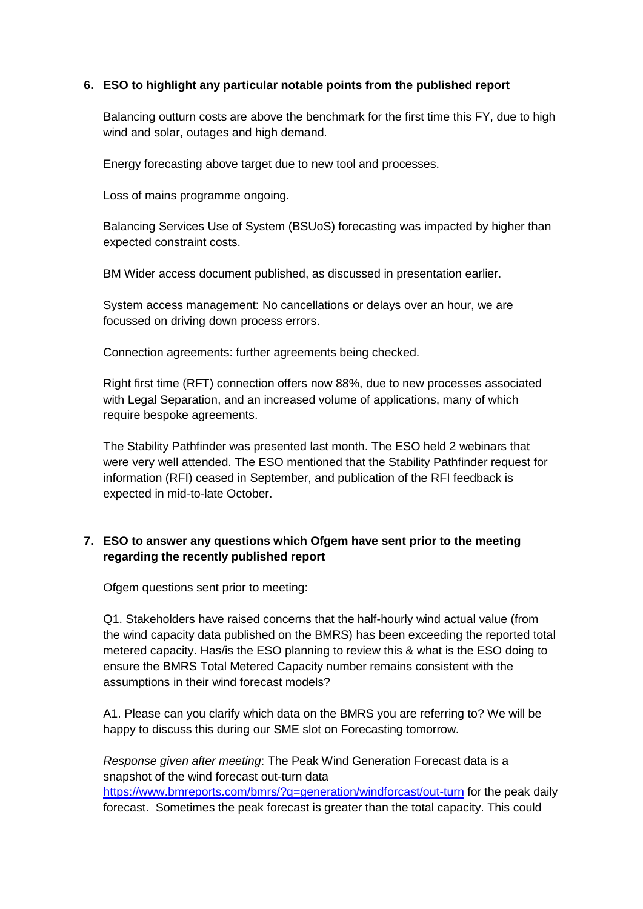### **6. ESO to highlight any particular notable points from the published report**

Balancing outturn costs are above the benchmark for the first time this FY, due to high wind and solar, outages and high demand.

Energy forecasting above target due to new tool and processes.

Loss of mains programme ongoing.

Balancing Services Use of System (BSUoS) forecasting was impacted by higher than expected constraint costs.

BM Wider access document published, as discussed in presentation earlier.

System access management: No cancellations or delays over an hour, we are focussed on driving down process errors.

Connection agreements: further agreements being checked.

Right first time (RFT) connection offers now 88%, due to new processes associated with Legal Separation, and an increased volume of applications, many of which require bespoke agreements.

The Stability Pathfinder was presented last month. The ESO held 2 webinars that were very well attended. The ESO mentioned that the Stability Pathfinder request for information (RFI) ceased in September, and publication of the RFI feedback is expected in mid-to-late October.

## **7. ESO to answer any questions which Ofgem have sent prior to the meeting regarding the recently published report**

Ofgem questions sent prior to meeting:

Q1. Stakeholders have raised concerns that the half-hourly wind actual value (from the wind capacity data published on the BMRS) has been exceeding the reported total metered capacity. Has/is the ESO planning to review this & what is the ESO doing to ensure the BMRS Total Metered Capacity number remains consistent with the assumptions in their wind forecast models?

A1. Please can you clarify which data on the BMRS you are referring to? We will be happy to discuss this during our SME slot on Forecasting tomorrow.

*Response given after meeting*: The Peak Wind Generation Forecast data is a snapshot of the wind forecast out-turn data

<https://www.bmreports.com/bmrs/?q=generation/windforcast/out-turn> for the peak daily forecast. Sometimes the peak forecast is greater than the total capacity. This could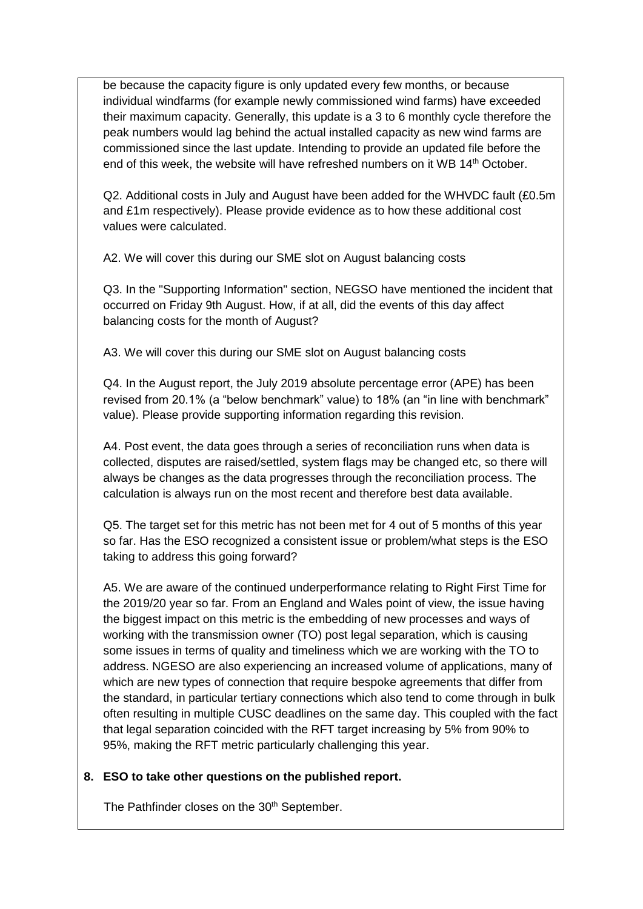be because the capacity figure is only updated every few months, or because individual windfarms (for example newly commissioned wind farms) have exceeded their maximum capacity. Generally, this update is a 3 to 6 monthly cycle therefore the peak numbers would lag behind the actual installed capacity as new wind farms are commissioned since the last update. Intending to provide an updated file before the end of this week, the website will have refreshed numbers on it WB  $14<sup>th</sup>$  October.

Q2. Additional costs in July and August have been added for the WHVDC fault (£0.5m and £1m respectively). Please provide evidence as to how these additional cost values were calculated.

A2. We will cover this during our SME slot on August balancing costs

Q3. In the "Supporting Information" section, NEGSO have mentioned the incident that occurred on Friday 9th August. How, if at all, did the events of this day affect balancing costs for the month of August?

A3. We will cover this during our SME slot on August balancing costs

Q4. In the August report, the July 2019 absolute percentage error (APE) has been revised from 20.1% (a "below benchmark" value) to 18% (an "in line with benchmark" value). Please provide supporting information regarding this revision.

A4. Post event, the data goes through a series of reconciliation runs when data is collected, disputes are raised/settled, system flags may be changed etc, so there will always be changes as the data progresses through the reconciliation process. The calculation is always run on the most recent and therefore best data available.

Q5. The target set for this metric has not been met for 4 out of 5 months of this year so far. Has the ESO recognized a consistent issue or problem/what steps is the ESO taking to address this going forward?

A5. We are aware of the continued underperformance relating to Right First Time for the 2019/20 year so far. From an England and Wales point of view, the issue having the biggest impact on this metric is the embedding of new processes and ways of working with the transmission owner (TO) post legal separation, which is causing some issues in terms of quality and timeliness which we are working with the TO to address. NGESO are also experiencing an increased volume of applications, many of which are new types of connection that require bespoke agreements that differ from the standard, in particular tertiary connections which also tend to come through in bulk often resulting in multiple CUSC deadlines on the same day. This coupled with the fact that legal separation coincided with the RFT target increasing by 5% from 90% to 95%, making the RFT metric particularly challenging this year.

### **8. ESO to take other questions on the published report.**

The Pathfinder closes on the 30<sup>th</sup> September.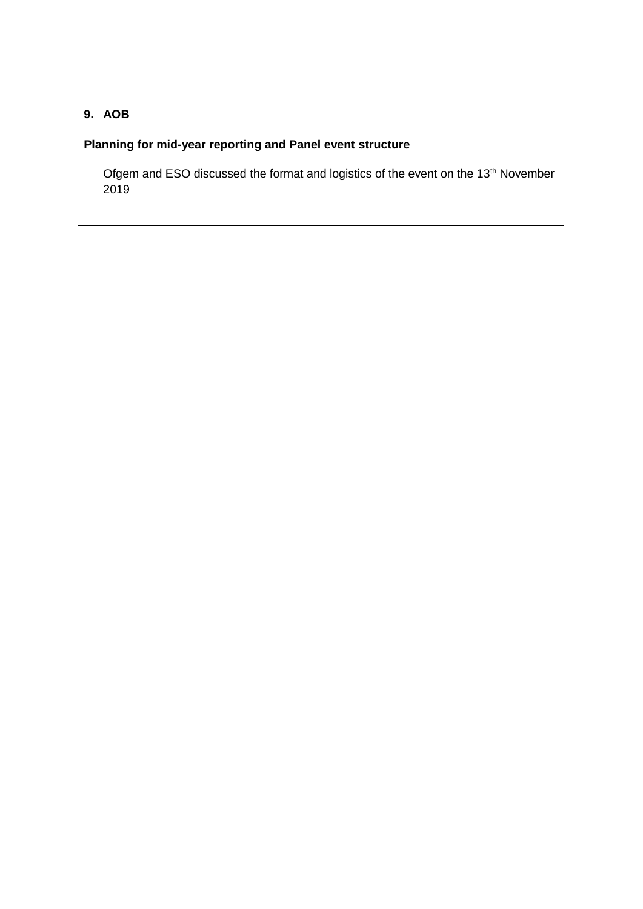# **9. AOB**

# **Planning for mid-year reporting and Panel event structure**

Ofgem and ESO discussed the format and logistics of the event on the 13<sup>th</sup> November 2019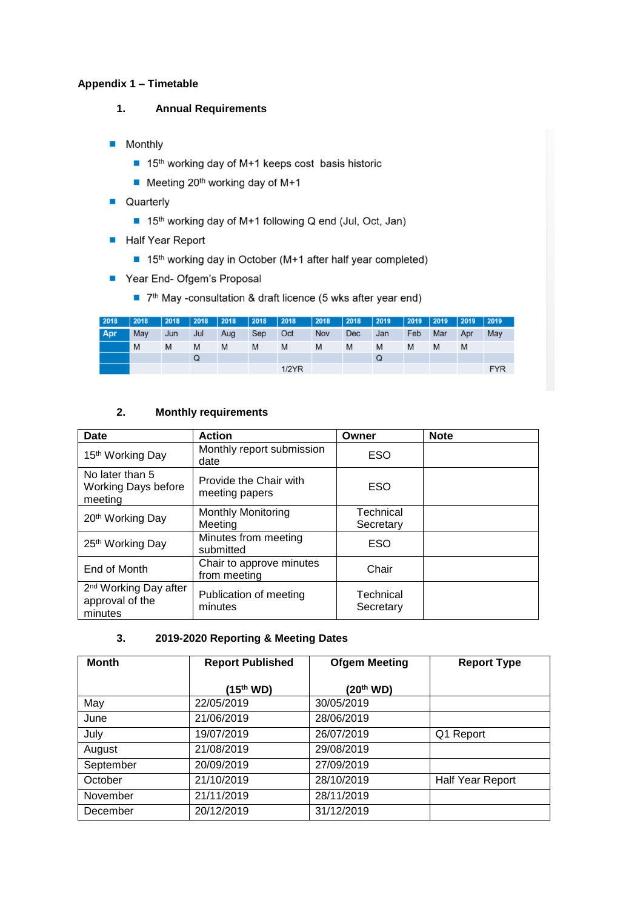#### **Appendix 1 – Timetable**

- **1. Annual Requirements**
- **Monthly** 
	- 15<sup>th</sup> working day of M+1 keeps cost basis historic
	- $\blacksquare$  Meeting 20<sup>th</sup> working day of M+1
- **Quarterly** 
	- 15<sup>th</sup> working day of M+1 following Q end (Jul, Oct, Jan)
- Half Year Report
	- 15<sup>th</sup> working day in October (M+1 after half year completed)
- Year End- Ofgem's Proposal
	- 7<sup>th</sup> May -consultation & draft licence (5 wks after year end)

| 2018 | 2018 | 2018 | $ 2018\rangle$ | $ 2018\rangle$ | $ 2018\rangle$ | $\vert$ 2018 | 2018 | 2018 | $ 2019\rangle$ | 2019 | $ 2019\rangle$ | $ 2019\rangle$ | $ 2019\rangle$ |
|------|------|------|----------------|----------------|----------------|--------------|------|------|----------------|------|----------------|----------------|----------------|
| Apr  | May  | Jun  | Jul            | Aug            | Sep            | Oct          | Nov  | Dec  | Jan            | Feb  | Mar            | Apr            | May            |
|      | M    | M    | M              | M              | M              | M            | M    | M    | M              | M    | M              | M              |                |
|      |      |      | Q              |                |                |              |      |      | Q              |      |                |                |                |
|      |      |      |                |                |                | $1/2$ $YR$   |      |      |                |      |                |                | <b>FYR</b>     |

#### **2. Monthly requirements**

| <b>Date</b>                                                     | <b>Action</b>                            | Owner                  | <b>Note</b> |
|-----------------------------------------------------------------|------------------------------------------|------------------------|-------------|
| 15 <sup>th</sup> Working Day                                    | Monthly report submission<br>date        | <b>ESO</b>             |             |
| No later than 5<br><b>Working Days before</b><br>meeting        | Provide the Chair with<br>meeting papers | <b>ESO</b>             |             |
| 20 <sup>th</sup> Working Day                                    | <b>Monthly Monitoring</b><br>Meeting     | Technical<br>Secretary |             |
| 25 <sup>th</sup> Working Day                                    | Minutes from meeting<br>submitted        | ESO                    |             |
| End of Month                                                    | Chair to approve minutes<br>from meeting | Chair                  |             |
| 2 <sup>nd</sup> Working Day after<br>approval of the<br>minutes | Publication of meeting<br>minutes        | Technical<br>Secretary |             |

#### **3. 2019-2020 Reporting & Meeting Dates**

| <b>Month</b> | <b>Report Published</b> | <b>Ofgem Meeting</b>  | <b>Report Type</b> |
|--------------|-------------------------|-----------------------|--------------------|
|              | (15 <sup>th</sup> WD)   | (20 <sup>th</sup> WD) |                    |
| May          | 22/05/2019              | 30/05/2019            |                    |
| June         | 21/06/2019              | 28/06/2019            |                    |
| July         | 19/07/2019              | 26/07/2019            | Q1 Report          |
| August       | 21/08/2019              | 29/08/2019            |                    |
| September    | 20/09/2019              | 27/09/2019            |                    |
| October      | 21/10/2019              | 28/10/2019            | Half Year Report   |
| November     | 21/11/2019              | 28/11/2019            |                    |
| December     | 20/12/2019              | 31/12/2019            |                    |